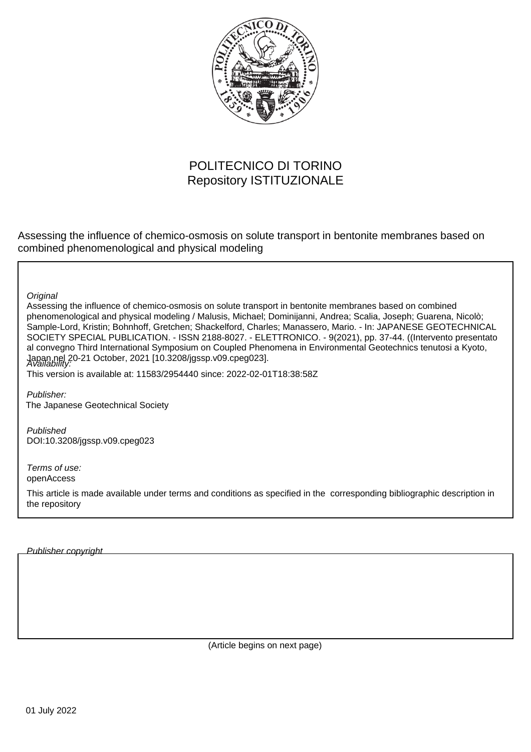

# POLITECNICO DI TORINO Repository ISTITUZIONALE

Assessing the influence of chemico-osmosis on solute transport in bentonite membranes based on combined phenomenological and physical modeling

**Original** 

Assessing the influence of chemico-osmosis on solute transport in bentonite membranes based on combined phenomenological and physical modeling / Malusis, Michael; Dominijanni, Andrea; Scalia, Joseph; Guarena, Nicolò; Sample-Lord, Kristin; Bohnhoff, Gretchen; Shackelford, Charles; Manassero, Mario. - In: JAPANESE GEOTECHNICAL SOCIETY SPECIAL PUBLICATION. - ISSN 2188-8027. - ELETTRONICO. - 9(2021), pp. 37-44. ((Intervento presentato al convegno Third International Symposium on Coupled Phenomena in Environmental Geotechnics tenutosi a Kyoto, Japan nel 20-21 October, 2021 [10.3208/jgssp.v09.cpeg023]. Availability:

This version is available at: 11583/2954440 since: 2022-02-01T18:38:58Z

Publisher: The Japanese Geotechnical Society

Published DOI:10.3208/jgssp.v09.cpeg023

Terms of use: openAccess

This article is made available under terms and conditions as specified in the corresponding bibliographic description in the repository

Publisher copyright

(Article begins on next page)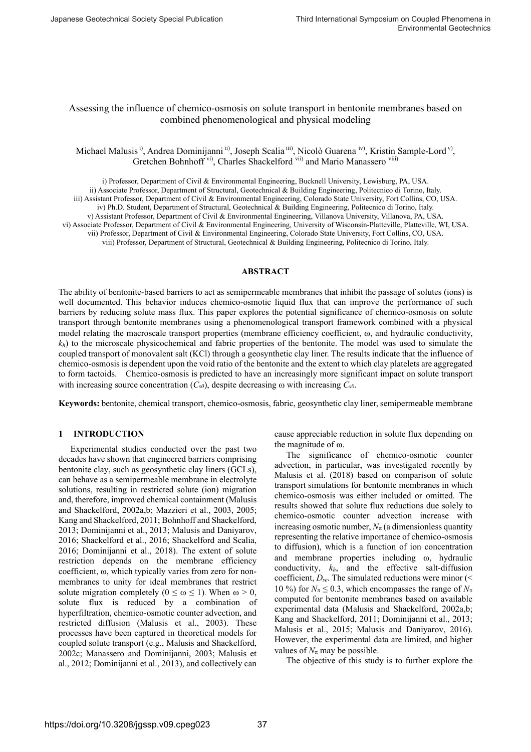# Assessing the influence of chemico-osmosis on solute transport in bentonite membranes based on combined phenomenological and physical modeling

Michael Malusis<sup>i)</sup>, Andrea Dominijanni ii), Joseph Scalia iii), Nicolò Guarena iv), Kristin Sample-Lord v), Gretchen Bohnhoff vi), Charles Shackelford vii) and Mario Manassero viii)

i) Professor, Department of Civil & Environmental Engineering, Bucknell University, Lewisburg, PA, USA. ii) Associate Professor, Department of Structural, Geotechnical & Building Engineering, Politecnico di Torino, Italy. iii) Assistant Professor, Department of Civil & Environmental Engineering, Colorado State University, Fort Collins, CO, USA. iv) Ph.D. Student, Department of Structural, Geotechnical & Building Engineering, Politecnico di Torino, Italy. v) Assistant Professor, Department of Civil & Environmental Engineering, Villanova University, Villanova, PA, USA. vi) Associate Professor, Department of Civil & Environmental Engineering, University of Wisconsin-Platteville, Platteville, WI, USA. vii) Professor, Department of Civil & Environmental Engineering, Colorado State University, Fort Collins, CO, USA. viii) Professor, Department of Structural, Geotechnical & Building Engineering, Politecnico di Torino, Italy.

## **ABSTRACT**

The ability of bentonite-based barriers to act as semipermeable membranes that inhibit the passage of solutes (ions) is well documented. This behavior induces chemico-osmotic liquid flux that can improve the performance of such barriers by reducing solute mass flux. This paper explores the potential significance of chemico-osmosis on solute transport through bentonite membranes using a phenomenological transport framework combined with a physical model relating the macroscale transport properties (membrane efficiency coefficient,  $\omega$ , and hydraulic conductivity,  $k_h$ ) to the microscale physicochemical and fabric properties of the bentonite. The model was used to simulate the coupled transport of monovalent salt (KCl) through a geosynthetic clay liner. The results indicate that the influence of chemico-osmosis is dependent upon the void ratio of the bentonite and the extent to which clay platelets are aggregated to form tactoids. Chemico-osmosis is predicted to have an increasingly more significant impact on solute transport with increasing source concentration  $(C_{s0})$ , despite decreasing  $\omega$  with increasing  $C_{s0}$ .

**Keywords:** bentonite, chemical transport, chemico-osmosis, fabric, geosynthetic clay liner, semipermeable membrane

# **1 INTRODUCTION**

Experimental studies conducted over the past two decades have shown that engineered barriers comprising bentonite clay, such as geosynthetic clay liners (GCLs), can behave as a semipermeable membrane in electrolyte solutions, resulting in restricted solute (ion) migration and, therefore, improved chemical containment (Malusis and Shackelford, 2002a,b; Mazzieri et al., 2003, 2005; Kang and Shackelford, 2011; Bohnhoff and Shackelford, 2013; Dominijanni et al., 2013; Malusis and Daniyarov, 2016; Shackelford et al., 2016; Shackelford and Scalia, 2016; Dominijanni et al., 2018). The extent of solute restriction depends on the membrane efficiency coefficient,  $\omega$ , which typically varies from zero for nonmembranes to unity for ideal membranes that restrict solute migration completely ( $0 \le \omega \le 1$ ). When  $\omega > 0$ , solute flux is reduced by a combination of hyperfiltration, chemico-osmotic counter advection, and restricted diffusion (Malusis et al., 2003). These processes have been captured in theoretical models for coupled solute transport (e.g., Malusis and Shackelford, 2002c; Manassero and Dominijanni, 2003; Malusis et al., 2012; Dominijanni et al., 2013), and collectively can

cause appreciable reduction in solute flux depending on the magnitude of  $\omega$ .

The significance of chemico-osmotic counter advection, in particular, was investigated recently by Malusis et al. (2018) based on comparison of solute transport simulations for bentonite membranes in which chemico-osmosis was either included or omitted. The results showed that solute flux reductions due solely to chemico-osmotic counter advection increase with increasing osmotic number,  $N_\pi$  (a dimensionless quantity representing the relative importance of chemico-osmosis to diffusion), which is a function of ion concentration and membrane properties including  $\omega$ , hydraulic conductivity, *kh*, and the effective salt-diffusion coefficient, *Dse*. The simulated reductions were minor (< 10 %) for  $N_\pi \leq 0.3$ , which encompasses the range of  $N_\pi$ computed for bentonite membranes based on available experimental data (Malusis and Shackelford, 2002a,b; Kang and Shackelford, 2011; Dominijanni et al., 2013; Malusis et al., 2015; Malusis and Daniyarov, 2016). However, the experimental data are limited, and higher values of  $N_\pi$  may be possible.

The objective of this study is to further explore the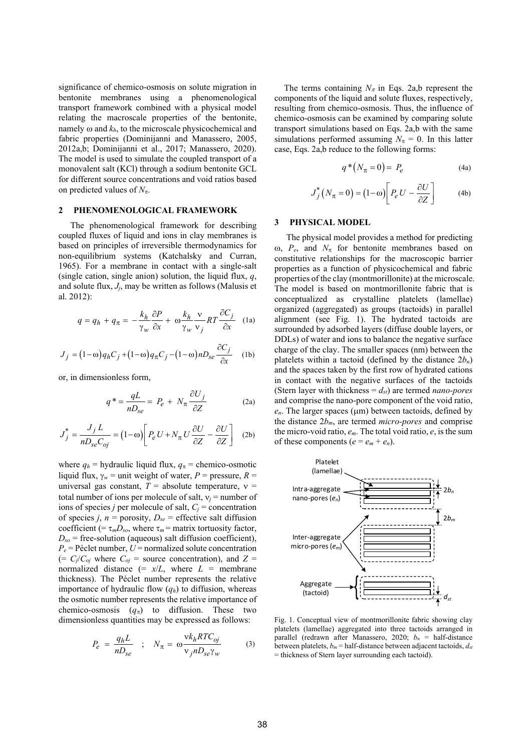significance of chemico-osmosis on solute migration in bentonite membranes using a phenomenological transport framework combined with a physical model relating the macroscale properties of the bentonite, namely  $\omega$  and  $k_h$ , to the microscale physicochemical and fabric properties (Dominijanni and Manassero, 2005, 2012a,b; Dominijanni et al., 2017; Manassero, 2020). The model is used to simulate the coupled transport of a monovalent salt (KCl) through a sodium bentonite GCL for different source concentrations and void ratios based on predicted values of  $N_{\pi}$ .

#### **2 PHENOMENOLOGICAL FRAMEWORK**

The phenomenological framework for describing coupled fluxes of liquid and ions in clay membranes is based on principles of irreversible thermodynamics for non-equilibrium systems (Katchalsky and Curran, 1965). For a membrane in contact with a single-salt (single cation, single anion) solution, the liquid flux, *q*, and solute flux, *Jj*, may be written as follows (Malusis et al. 2012):

$$
q = q_h + q_\pi = -\frac{k_h}{\gamma_w} \frac{\partial P}{\partial x} + \omega \frac{k_h}{\gamma_w} \frac{\nu}{\nu_j} RT \frac{\partial C_j}{\partial x}
$$
 (1a)

$$
J_j = (1 - \omega) q_h C_j + (1 - \omega) q_\pi C_j - (1 - \omega) n D_{se} \frac{\partial C_j}{\partial x}
$$
 (1b)

or, in dimensionless form,

$$
q^* = \frac{qL}{nD_{se}} = P_e + N_\pi \frac{\partial U_j}{\partial Z}
$$
 (2a)

$$
J_j^* = \frac{J_j L}{n D_{se} C_{oj}} = (1 - \omega) \left[ P_e U + N_\pi U \frac{\partial U}{\partial Z} - \frac{\partial U}{\partial Z} \right]
$$
 (2b)

where  $q_h$  = hydraulic liquid flux,  $q_\pi$  = chemico-osmotic liquid flux,  $\gamma_w$  = unit weight of water, *P* = pressure, *R* = universal gas constant,  $T =$  absolute temperature,  $v =$ total number of ions per molecule of salt,  $v_i$  = number of ions of species *j* per molecule of salt,  $C_i$  = concentration of species *j*,  $n =$  porosity,  $D_{se} =$  effective salt diffusion coefficient (=  $\tau_m D_{so}$ , where  $\tau_m$  = matrix tortuosity factor,  $D_{so}$  = free-solution (aqueous) salt diffusion coefficient),  $P_e$  = Péclet number,  $U$  = normalized solute concentration  $(= C_j/C_{oj}$  where  $C_{oj}$  = source concentration), and  $Z =$ normalized distance  $(= x/L,$  where  $L =$  membrane thickness). The Péclet number represents the relative importance of hydraulic flow  $(q_h)$  to diffusion, whereas the osmotic number represents the relative importance of chemico-osmosis  $(q_{\pi})$  to diffusion. These two dimensionless quantities may be expressed as follows:

$$
P_e = \frac{q_h L}{n D_{se}} \quad ; \quad N_\pi = \omega \frac{v k_h R T C_{oj}}{v_j n D_{se} \gamma_w} \tag{3}
$$

The terms containing  $N_{\pi}$  in Eqs. 2a,b represent the components of the liquid and solute fluxes, respectively, resulting from chemico-osmosis. Thus, the influence of chemico-osmosis can be examined by comparing solute transport simulations based on Eqs. 2a,b with the same simulations performed assuming  $N_\pi = 0$ . In this latter case, Eqs. 2a,b reduce to the following forms:

$$
q^*(N_\pi = 0) = P_e \tag{4a}
$$

$$
J_j^*\left(N_\pi = 0\right) = \left(1 - \omega\right) \left[P_e U - \frac{\partial U}{\partial Z}\right]
$$
 (4b)

## **3 PHYSICAL MODEL**

The physical model provides a method for predicting  $\omega$ ,  $P_e$ , and  $N_\pi$  for bentonite membranes based on constitutive relationships for the macroscopic barrier properties as a function of physicochemical and fabric properties of the clay (montmorillonite) at the microscale. The model is based on montmorillonite fabric that is conceptualized as crystalline platelets (lamellae) organized (aggregated) as groups (tactoids) in parallel alignment (see Fig. 1). The hydrated tactoids are surrounded by adsorbed layers (diffuse double layers, or DDLs) of water and ions to balance the negative surface charge of the clay. The smaller spaces (nm) between the platelets within a tactoid (defined by the distance  $2b_n$ ) and the spaces taken by the first row of hydrated cations in contact with the negative surfaces of the tactoids (Stern layer with thickness  $= d_{st}$ ) are termed *nano-pores* and comprise the nano-pore component of the void ratio,  $e_n$ . The larger spaces ( $\mu$ m) between tactoids, defined by the distance 2*bm*, are termed *micro-pores* and comprise the micro-void ratio, *em*. The total void ratio, *e*, is the sum of these components  $(e = e_m + e_n)$ .



Fig. 1. Conceptual view of montmorillonite fabric showing clay platelets (lamellae) aggregated into three tactoids arranged in parallel (redrawn after Manassero, 2020; *bn* = half-distance between platelets, *bm* = half-distance between adjacent tactoids, *dst* = thickness of Stern layer surrounding each tactoid).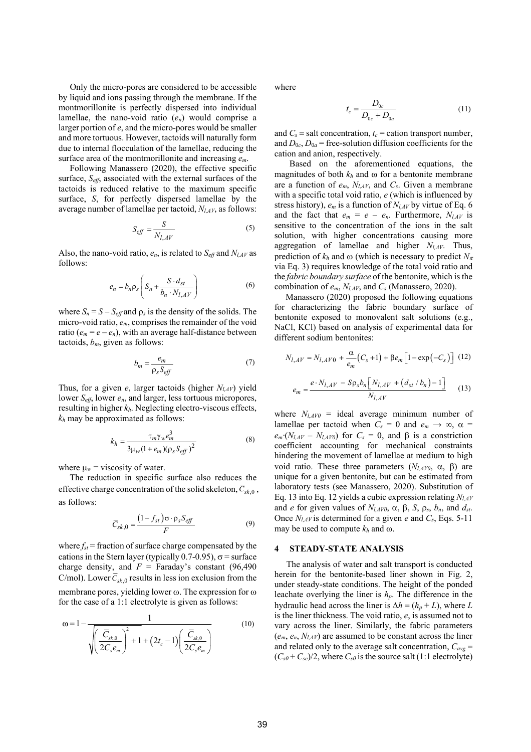Only the micro-pores are considered to be accessible by liquid and ions passing through the membrane. If the montmorillonite is perfectly dispersed into individual lamellae, the nano-void ratio (*en*) would comprise a larger portion of *e*, and the micro-pores would be smaller and more tortuous. However, tactoids will naturally form due to internal flocculation of the lamellae, reducing the surface area of the montmorillonite and increasing *em*.

Following Manassero (2020), the effective specific surface, *Seff*, associated with the external surfaces of the tactoids is reduced relative to the maximum specific surface, *S*, for perfectly dispersed lamellae by the average number of lamellae per tactoid, *Nl,AV*, as follows:

$$
S_{\text{eff}} = \frac{S}{N_{l, A V}}\tag{5}
$$

Also, the nano-void ratio, *en*, is related to *Seff* and *Nl,AV* as follows:

$$
e_n = b_n \rho_s \left( S_n + \frac{S \cdot d_{st}}{b_n \cdot N_{I,AV}} \right) \tag{6}
$$

where  $S_n = S - S_{\text{eff}}$  and  $\rho_s$  is the density of the solids. The micro-void ratio, *em*, comprises the remainder of the void ratio ( $e_m = e - e_n$ ), with an average half-distance between tactoids, *bm*, given as follows:

$$
b_m = \frac{e_m}{\rho_s S_{\text{eff}}}
$$
 (7)

Thus, for a given *e*, larger tactoids (higher *Nl,AV*) yield lower *Seff*, lower *en*, and larger, less tortuous micropores, resulting in higher *kh*. Neglecting electro-viscous effects, *kh* may be approximated as follows:

$$
k_h = \frac{\tau_m \gamma_w e_m^3}{3\mu_w (1 + e_m)(\rho_s S_{eff})^2}
$$
(8)

where  $\mu_w$  = viscosity of water.

The reduction in specific surface also reduces the effective charge concentration of the solid skeleton,  $\overline{C}_{sk,0}$ , as follows:

$$
\overline{C}_{sk,0} = \frac{\left(1 - f_{st}\right)\sigma \cdot \rho_s S_{\text{eff}}}{F} \tag{9}
$$

where  $f_{st}$  = fraction of surface charge compensated by the cations in the Stern layer (typically 0.7-0.95),  $\sigma$  = surface charge density, and  $F =$  Faraday's constant (96,490) C/mol). Lower  $C_{sk,0}$  results in less ion exclusion from the membrane pores, yielding lower  $\omega$ . The expression for  $\omega$ for the case of a 1:1 electrolyte is given as follows:

$$
\omega = 1 - \frac{1}{\sqrt{\left(\frac{\overline{C}_{s,k,0}}{2C_s e_m}\right)^2 + 1 + (2t_c - 1)\left(\frac{\overline{C}_{s,k,0}}{2C_s e_m}\right)}}
$$
(10)

where

$$
t_c = \frac{D_{0c}}{D_{0c} + D_{0a}}\tag{11}
$$

and  $C_s$  = salt concentration,  $t_c$  = cation transport number, and  $D_{0c}$ ,  $D_{0a}$  = free-solution diffusion coefficients for the cation and anion, respectively.

Based on the aforementioned equations, the magnitudes of both  $k_h$  and  $\omega$  for a bentonite membrane are a function of  $e_m$ ,  $N_{LAY}$ , and  $C_s$ . Given a membrane with a specific total void ratio, *e* (which is influenced by stress history), *em* is a function of *Nl,AV* by virtue of Eq. 6 and the fact that  $e_m = e - e_n$ . Furthermore,  $N_{l,AV}$  is sensitive to the concentration of the ions in the salt solution, with higher concentrations causing more aggregation of lamellae and higher *Nl,AV*. Thus, prediction of  $k_h$  and  $\omega$  (which is necessary to predict  $N_\pi$ via Eq. 3) requires knowledge of the total void ratio and the *fabric boundary surface* of the bentonite, which is the combination of *em*, *Nl,AV*, and *Cs* (Manassero, 2020).

Manassero (2020) proposed the following equations for characterizing the fabric boundary surface of bentonite exposed to monovalent salt solutions (e.g., NaCl, KCl) based on analysis of experimental data for different sodium bentonites:

$$
N_{l,AV} = N_{l,AV0} + \frac{\alpha}{e_m} (C_s + 1) + \beta e_m \left[ 1 - \exp(-C_s) \right] (12)
$$

$$
e_m = \frac{e \cdot N_{l,AV} - S \rho_s b_n \left[ N_{l,AV} + (d_{st} / b_n) - 1 \right]}{N_{l,AV}}
$$
(13)

where  $N_{l,AV0}$  = ideal average minimum number of lamellae per tactoid when  $C_s = 0$  and  $e_m \rightarrow \infty$ ,  $\alpha =$  $e_m (N_{I,AV} - N_{I,AVO})$  for  $C_s = 0$ , and  $\beta$  is a constriction coefficient accounting for mechanical constraints hindering the movement of lamellae at medium to high void ratio. These three parameters  $(N_{IAV0}, \alpha, \beta)$  are unique for a given bentonite, but can be estimated from laboratory tests (see Manassero, 2020). Substitution of Eq. 13 into Eq. 12 yields a cubic expression relating *Nl,AV*  and *e* for given values of  $N_{I,AV0}$ ,  $\alpha$ ,  $\beta$ ,  $S$ ,  $\rho_s$ ,  $b_n$ , and  $d_{st}$ . Once *Nl,AV* is determined for a given *e* and *Cs*, Eqs. 5-11 may be used to compute  $k_h$  and  $\omega$ .

#### **4 STEADY-STATE ANALYSIS**

The analysis of water and salt transport is conducted herein for the bentonite-based liner shown in Fig. 2, under steady-state conditions. The height of the ponded leachate overlying the liner is *hp*. The difference in the hydraulic head across the liner is  $\Delta h = (h_p + L)$ , where *L* is the liner thickness. The void ratio, *e*, is assumed not to vary across the liner. Similarly, the fabric parameters (*em*, *en*, *Nl,AV*) are assumed to be constant across the liner and related only to the average salt concentration,  $C_{avg}$  =  $(C_{s0} + C_{se})/2$ , where  $C_{s0}$  is the source salt (1:1 electrolyte)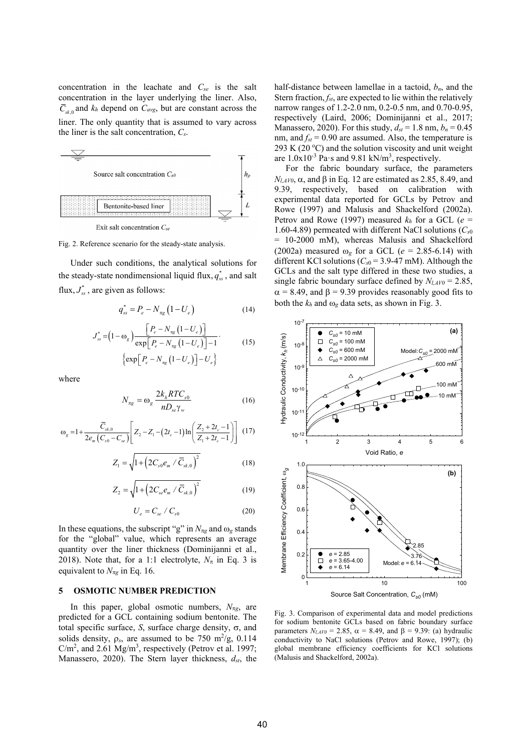concentration in the leachate and *Cse* is the salt concentration in the layer underlying the liner. Also,  $\overline{C}_{sk,0}$  and  $k_h$  depend on  $C_{avg}$ , but are constant across the liner. The only quantity that is assumed to vary across the liner is the salt concentration, *Cs*.



Fig. 2. Reference scenario for the steady-state analysis.

Under such conditions, the analytical solutions for the steady-state nondimensional liquid flux,  $q_{ss}^*$ , and salt flux,  $J_{ss}^*$ , are given as follows:

$$
q_{ss}^{*} = P_e - N_{\pi g} \left( 1 - U_e \right)
$$
 (14)

$$
J_{ss}^{*} = (1 - \omega_{g}) \frac{\left[P_{e} - N_{\pi g} \left(1 - U_{e}\right)\right]}{\exp\left[P_{e} - N_{\pi g} \left(1 - U_{e}\right)\right] - 1}.
$$
\n
$$
\left\{\exp\left[P_{e} - N_{\pi g} \left(1 - U_{e}\right)\right] - U_{e}\right\}
$$
\n(15)

where

$$
N_{\pi g} = \omega_g \frac{2k_h RTC_{s0}}{nD_{s} \gamma_w} \tag{16}
$$

$$
\omega_{g} = 1 + \frac{\overline{C}_{sk,0}}{2e_{m}(C_{s0} - C_{se})} \left[ Z_{2} - Z_{1} - (2t_{c} - 1) \ln \left( \frac{Z_{2} + 2t_{c} - 1}{Z_{1} + 2t_{c} - 1} \right) \right] (17)
$$

$$
Z_1 = \sqrt{1 + \left(2C_{s0}e_m / \overline{C}_{sk,0}\right)^2}
$$
 (18)

$$
Z_2 = \sqrt{1 + \left(2C_{se}e_m / \overline{C}_{sk,0}\right)^2}
$$
 (19)

$$
U_e = C_{se} / C_{s0} \tag{20}
$$

In these equations, the subscript "g" in  $N_{\pi g}$  and  $\omega_g$  stands for the "global" value, which represents an average quantity over the liner thickness (Dominijanni et al., 2018). Note that, for a 1:1 electrolyte,  $N_{\pi}$  in Eq. 3 is equivalent to  $N_{\pi g}$  in Eq. 16.

# **5 OSMOTIC NUMBER PREDICTION**

In this paper, global osmotic numbers,  $N_{\pi g}$ , are predicted for a GCL containing sodium bentonite. The total specific surface, *S*, surface charge density,  $\sigma$ , and solids density,  $\rho_s$ , are assumed to be 750 m<sup>2</sup>/g, 0.114  $C/m<sup>2</sup>$ , and 2.61 Mg/m<sup>3</sup>, respectively (Petrov et al. 1997; Manassero, 2020). The Stern layer thickness,  $d_{st}$ , the

half-distance between lamellae in a tactoid,  $b_n$ , and the Stern fraction, *fst*, are expected to lie within the relatively narrow ranges of 1.2-2.0 nm, 0.2-0.5 nm, and 0.70-0.95, respectively (Laird, 2006; Dominijanni et al., 2017; Manassero, 2020). For this study,  $d_{st} = 1.8$  nm,  $b_n = 0.45$ nm, and  $f_{st} = 0.90$  are assumed. Also, the temperature is 293 K (20 $^{\circ}$ C) and the solution viscosity and unit weight are  $1.0x10^{-3}$  Pa $\cdot$ s and  $9.81$  kN/m<sup>3</sup>, respectively.

For the fabric boundary surface, the parameters  $N_{\ell A}$ <sub>V0</sub>,  $\alpha$ , and  $\beta$  in Eq. 12 are estimated as 2.85, 8.49, and 9.39, respectively, based on calibration with experimental data reported for GCLs by Petrov and Rowe (1997) and Malusis and Shackelford (2002a). Petrov and Rowe (1997) measured  $k_h$  for a GCL ( $e =$ 1.60-4.89) permeated with different NaCl solutions (*Cs*<sup>0</sup> = 10-2000 mM), whereas Malusis and Shackelford (2002a) measured  $\omega_{\sigma}$  for a GCL ( $e = 2.85$ -6.14) with different KCl solutions (*Cs*0 = 3.9-47 mM). Although the GCLs and the salt type differed in these two studies, a single fabric boundary surface defined by  $N_{l,AV0} = 2.85$ ,  $\alpha$  = 8.49, and  $\beta$  = 9.39 provides reasonably good fits to both the  $k_h$  and  $\omega_g$  data sets, as shown in Fig. 3.



Fig. 3. Comparison of experimental data and model predictions for sodium bentonite GCLs based on fabric boundary surface parameters  $N_{LAV0} = 2.85$ ,  $\alpha = 8.49$ , and  $\beta = 9.39$ : (a) hydraulic conductivity to NaCl solutions (Petrov and Rowe, 1997); (b) global membrane efficiency coefficients for KCl solutions (Malusis and Shackelford, 2002a).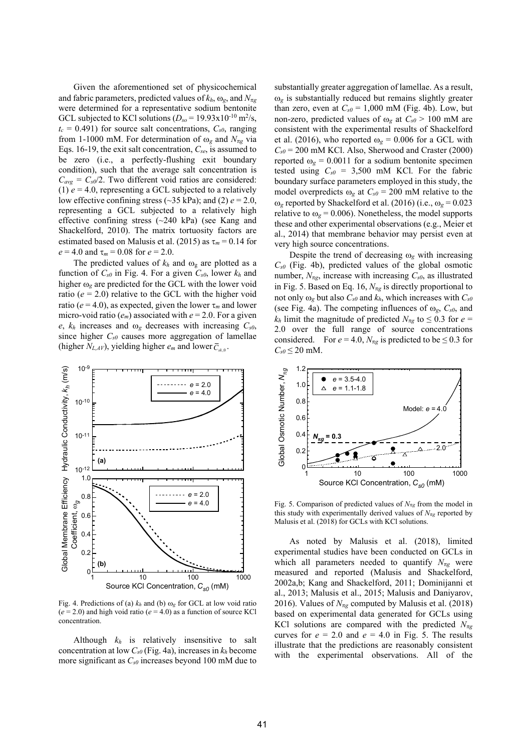Given the aforementioned set of physicochemical and fabric parameters, predicted values of  $k_h$ ,  $\omega_g$ , and  $N_{\pi g}$ were determined for a representative sodium bentonite GCL subjected to KCl solutions  $(D_{so} = 19.93 \times 10^{-10} \text{ m}^2/\text{s}$ ,  $t_c = 0.491$ ) for source salt concentrations,  $C_{s0}$ , ranging from 1-1000 mM. For determination of  $\omega_g$  and  $N_{\pi g}$  via Eqs. 16-19, the exit salt concentration, *Cse*, is assumed to be zero (i.e., a perfectly-flushing exit boundary condition), such that the average salt concentration is  $C_{avg} = C_{s0}/2$ . Two different void ratios are considered: (1)  $e = 4.0$ , representing a GCL subjected to a relatively low effective confining stress ( $\sim$ 35 kPa); and (2)  $e = 2.0$ , representing a GCL subjected to a relatively high effective confining stress (~240 kPa) (see Kang and Shackelford, 2010). The matrix tortuosity factors are estimated based on Malusis et al. (2015) as  $\tau_m = 0.14$  for  $e = 4.0$  and  $\tau_m = 0.08$  for  $e = 2.0$ .

The predicted values of  $k_h$  and  $\omega_g$  are plotted as a function of  $C_{s0}$  in Fig. 4. For a given  $C_{s0}$ , lower  $k_h$  and higher  $\omega_g$  are predicted for the GCL with the lower void ratio  $(e = 2.0)$  relative to the GCL with the higher void ratio ( $e = 4.0$ ), as expected, given the lower  $\tau_m$  and lower micro-void ratio  $(e_m)$  associated with  $e = 2.0$ . For a given  $e$ ,  $k_h$  increases and  $\omega_g$  decreases with increasing  $C_{s0}$ , since higher *Cs0* causes more aggregation of lamellae (higher  $N_{L,AV}$ ), yielding higher  $e_m$  and lower  $\overline{C}_{\alpha}$ .



Fig. 4. Predictions of (a)  $k_h$  and (b)  $\omega_g$  for GCL at low void ratio  $(e = 2.0)$  and high void ratio  $(e = 4.0)$  as a function of source KCl concentration.

Although  $k_h$  is relatively insensitive to salt concentration at low  $C_{s0}$  (Fig. 4a), increases in  $k_h$  become more significant as *Cs0* increases beyond 100 mM due to

substantially greater aggregation of lamellae. As a result,  $\omega_g$  is substantially reduced but remains slightly greater than zero, even at  $C_{s0} = 1,000$  mM (Fig. 4b). Low, but non-zero, predicted values of  $\omega_g$  at  $C_{s0}$  > 100 mM are consistent with the experimental results of Shackelford et al. (2016), who reported  $\omega_g = 0.006$  for a GCL with  $C_{s0}$  = 200 mM KCl. Also, Sherwood and Craster (2000) reported  $\omega_g = 0.0011$  for a sodium bentonite specimen tested using  $C_{s0} = 3,500$  mM KCl. For the fabric boundary surface parameters employed in this study, the model overpredicts  $\omega_{\rm g}$  at  $C_{\rm s0}$  = 200 mM relative to the  $\omega_g$  reported by Shackelford et al. (2016) (i.e.,  $\omega_g = 0.023$ relative to  $\omega_{\rm g}$  = 0.006). Nonetheless, the model supports these and other experimental observations (e.g., Meier et al., 2014) that membrane behavior may persist even at very high source concentrations.

Despite the trend of decreasing  $\omega_g$  with increasing *Cs0* (Fig. 4b), predicted values of the global osmotic number,  $N_{\pi g}$ , increase with increasing  $C_{s0}$ , as illustrated in Fig. 5. Based on Eq. 16,  $N_{\pi g}$  is directly proportional to not only  $\omega_g$  but also  $C_{s0}$  and  $k_h$ , which increases with  $C_{s0}$ (see Fig. 4a). The competing influences of  $\omega_{g}$ ,  $C_{s0}$ , and *k<sub>h</sub>* limit the magnitude of predicted  $N_{\pi g}$  to  $\leq 0.3$  for  $e =$ 2.0 over the full range of source concentrations considered. For  $e = 4.0$ ,  $N_{\pi e}$  is predicted to be  $\leq 0.3$  for  $C_{s0} \leq 20$  mM.



Fig. 5. Comparison of predicted values of  $N_{\pi g}$  from the model in this study with experimentally derived values of  $N_{\pi g}$  reported by Malusis et al. (2018) for GCLs with KCl solutions.

As noted by Malusis et al. (2018), limited experimental studies have been conducted on GCLs in which all parameters needed to quantify  $N_{\pi g}$  were measured and reported (Malusis and Shackelford, 2002a,b; Kang and Shackelford, 2011; Dominijanni et al., 2013; Malusis et al., 2015; Malusis and Daniyarov, 2016). Values of  $N_{\pi g}$  computed by Malusis et al. (2018) based on experimental data generated for GCLs using KCl solutions are compared with the predicted  $N_{\pi g}$ curves for  $e = 2.0$  and  $e = 4.0$  in Fig. 5. The results illustrate that the predictions are reasonably consistent with the experimental observations. All of the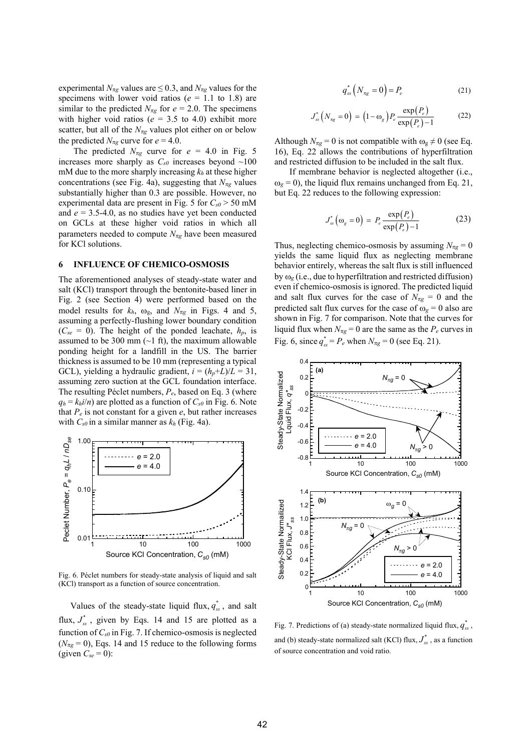experimental  $N_{\pi g}$  values are  $\leq 0.3$ , and  $N_{\pi g}$  values for the specimens with lower void ratios ( $e = 1.1$  to 1.8) are similar to the predicted  $N_{\pi g}$  for  $e = 2.0$ . The specimens with higher void ratios ( $e = 3.5$  to 4.0) exhibit more scatter, but all of the  $N_{\pi g}$  values plot either on or below the predicted  $N_{\pi g}$  curve for  $e = 4.0$ .

The predicted  $N_{\pi g}$  curve for  $e = 4.0$  in Fig. 5 increases more sharply as  $C_{s0}$  increases beyond  $\sim$ 100 mM due to the more sharply increasing  $k_h$  at these higher concentrations (see Fig. 4a), suggesting that  $N_{\pi g}$  values substantially higher than 0.3 are possible. However, no experimental data are present in Fig. 5 for  $C_{s0}$  > 50 mM and  $e = 3.5 - 4.0$ , as no studies have yet been conducted on GCLs at these higher void ratios in which all parameters needed to compute  $N_{\pi g}$  have been measured for KCl solutions.

## **6 INFLUENCE OF CHEMICO-OSMOSIS**

The aforementioned analyses of steady-state water and salt (KCl) transport through the bentonite-based liner in Fig. 2 (see Section 4) were performed based on the model results for  $k_h$ ,  $\omega_g$ , and  $N_{\pi g}$  in Figs. 4 and 5, assuming a perfectly-flushing lower boundary condition  $(C_{se} = 0)$ . The height of the ponded leachate,  $h_p$ , is assumed to be 300 mm  $(\sim 1 \text{ ft})$ , the maximum allowable ponding height for a landfill in the US. The barrier thickness is assumed to be 10 mm (representing a typical GCL), yielding a hydraulic gradient,  $i = (h_p + L)/L = 31$ , assuming zero suction at the GCL foundation interface. The resulting Péclet numbers, *Pe*, based on Eq. 3 (where  $q_h = k_h i/n$ ) are plotted as a function of  $C_{s0}$  in Fig. 6. Note that  $P_e$  is not constant for a given  $e$ , but rather increases with *Cs0* in a similar manner as *kh* (Fig. 4a).



Fig. 6. Péclet numbers for steady-state analysis of liquid and salt (KCl) transport as a function of source concentration.

Values of the steady-state liquid flux,  $q_{ss}^*$ , and salt flux,  $J_{ss}^*$ , given by Eqs. 14 and 15 are plotted as a function of  $C_{s0}$  in Fig. 7. If chemico-osmosis is neglected  $(N_{\pi g} = 0)$ , Eqs. 14 and 15 reduce to the following forms (given  $C_{se} = 0$ ):

$$
q_{ss}^* \left( N_{\pi g} = 0 \right) = P_e \tag{21}
$$

$$
J_{ss}^*\left(N_{\pi g}=0\right) = \left(1-\omega_g\right) P_e \frac{\exp(P_e)}{\exp(P_e) - 1} \tag{22}
$$

Although  $N_{\pi g} = 0$  is not compatible with  $\omega_g \neq 0$  (see Eq. 16), Eq. 22 allows the contributions of hyperfiltration and restricted diffusion to be included in the salt flux.

If membrane behavior is neglected altogether (i.e.,  $\omega_{\sigma}$  = 0), the liquid flux remains unchanged from Eq. 21, but Eq. 22 reduces to the following expression:

$$
J_{ss}^*\left(\omega_{g}=0\right)=P_e\frac{\exp(P_e)}{\exp(P_e)-1}
$$
 (23)

Thus, neglecting chemico-osmosis by assuming  $N_{\pi g} = 0$ yields the same liquid flux as neglecting membrane behavior entirely, whereas the salt flux is still influenced by  $\omega_g$  (i.e., due to hyperfiltration and restricted diffusion) even if chemico-osmosis is ignored. The predicted liquid and salt flux curves for the case of  $N_{\pi g} = 0$  and the predicted salt flux curves for the case of  $\omega_{\rm g} = 0$  also are shown in Fig. 7 for comparison. Note that the curves for liquid flux when  $N_{\pi g} = 0$  are the same as the  $P_e$  curves in Fig. 6, since  $q_{ss}^* = P_e$  when  $N_{\pi g} = 0$  (see Eq. 21).



Fig. 7. Predictions of (a) steady-state normalized liquid flux,  $q_{ss}^{*}$ , and (b) steady-state normalized salt (KCl) flux,  $J_{ss}^{*}$ , as a function of source concentration and void ratio.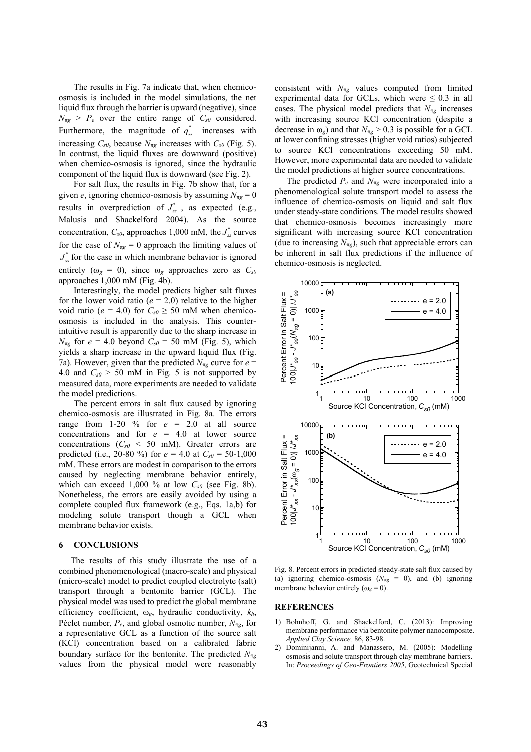The results in Fig. 7a indicate that, when chemicoosmosis is included in the model simulations, the net liquid flux through the barrier is upward (negative), since  $N_{\pi g}$  >  $P_e$  over the entire range of  $C_{s0}$  considered. Furthermore, the magnitude of  $q_{ss}^*$  increases with increasing  $C_{s0}$ , because  $N_{\pi g}$  increases with  $C_{s0}$  (Fig. 5). In contrast, the liquid fluxes are downward (positive) when chemico-osmosis is ignored, since the hydraulic component of the liquid flux is downward (see Fig. 2).

For salt flux, the results in Fig. 7b show that, for a given *e*, ignoring chemico-osmosis by assuming  $N_{\pi g} = 0$ results in overprediction of  $J_{ss}^*$ , as expected (e.g., Malusis and Shackelford 2004). As the source concentration,  $C_{s0}$ , approaches 1,000 mM, the  $J_{ss}^{*}$  curves for the case of  $N_{\pi g} = 0$  approach the limiting values of  $J_{ss}^*$  for the case in which membrane behavior is ignored entirely ( $\omega_g = 0$ ), since  $\omega_g$  approaches zero as  $C_{s0}$ approaches 1,000 mM (Fig. 4b).

Interestingly, the model predicts higher salt fluxes for the lower void ratio ( $e = 2.0$ ) relative to the higher void ratio ( $e = 4.0$ ) for  $C_{s0} \ge 50$  mM when chemicoosmosis is included in the analysis. This counterintuitive result is apparently due to the sharp increase in  $N_{\pi g}$  for  $e = 4.0$  beyond  $C_{s0} = 50$  mM (Fig. 5), which yields a sharp increase in the upward liquid flux (Fig. 7a). However, given that the predicted  $N_{\pi g}$  curve for  $e =$ 4.0 and  $C_{s0}$  > 50 mM in Fig. 5 is not supported by measured data, more experiments are needed to validate the model predictions.

The percent errors in salt flux caused by ignoring chemico-osmosis are illustrated in Fig. 8a. The errors range from  $1-20\%$  for  $e = 2.0$  at all source concentrations and for *e* = 4.0 at lower source concentrations  $(C_{s0} < 50$  mM). Greater errors are predicted (i.e., 20-80 %) for  $e = 4.0$  at  $C_{s0} = 50{\text -}1,000$ mM. These errors are modest in comparison to the errors caused by neglecting membrane behavior entirely, which can exceed 1,000 % at low  $C_{s0}$  (see Fig. 8b). Nonetheless, the errors are easily avoided by using a complete coupled flux framework (e.g., Eqs. 1a,b) for modeling solute transport though a GCL when membrane behavior exists.

#### **6 CONCLUSIONS**

The results of this study illustrate the use of a combined phenomenological (macro-scale) and physical (micro-scale) model to predict coupled electrolyte (salt) transport through a bentonite barrier (GCL). The physical model was used to predict the global membrane efficiency coefficient, *g*, hydraulic conductivity, *kh*, Péclet number,  $P_e$ , and global osmotic number,  $N_{\pi g}$ , for a representative GCL as a function of the source salt (KCl) concentration based on a calibrated fabric boundary surface for the bentonite. The predicted  $N_{\pi g}$ values from the physical model were reasonably consistent with  $N_{\pi g}$  values computed from limited experimental data for GCLs, which were  $\leq 0.3$  in all cases. The physical model predicts that  $N_{\pi g}$  increases with increasing source KCl concentration (despite a decrease in  $\omega_{g}$ ) and that  $N_{\pi g} > 0.3$  is possible for a GCL at lower confining stresses (higher void ratios) subjected to source KCl concentrations exceeding 50 mM. However, more experimental data are needed to validate the model predictions at higher source concentrations.

The predicted  $P_e$  and  $N_{\pi g}$  were incorporated into a phenomenological solute transport model to assess the influence of chemico-osmosis on liquid and salt flux under steady-state conditions. The model results showed that chemico-osmosis becomes increasingly more significant with increasing source KCl concentration (due to increasing  $N_{\pi g}$ ), such that appreciable errors can be inherent in salt flux predictions if the influence of chemico-osmosis is neglected.



Fig. 8. Percent errors in predicted steady-state salt flux caused by (a) ignoring chemico-osmosis  $(N_{\pi g} = 0)$ , and (b) ignoring membrane behavior entirely ( $\omega_g = 0$ ).

# **REFERENCES**

- 1) Bohnhoff, G. and Shackelford, C. (2013): Improving membrane performance via bentonite polymer nanocomposite. *Applied Clay Science,* 86, 83-98.
- 2) Dominijanni, A. and Manassero, M. (2005): Modelling osmosis and solute transport through clay membrane barriers. In: *Proceedings of Geo-Frontiers 2005*, Geotechnical Special